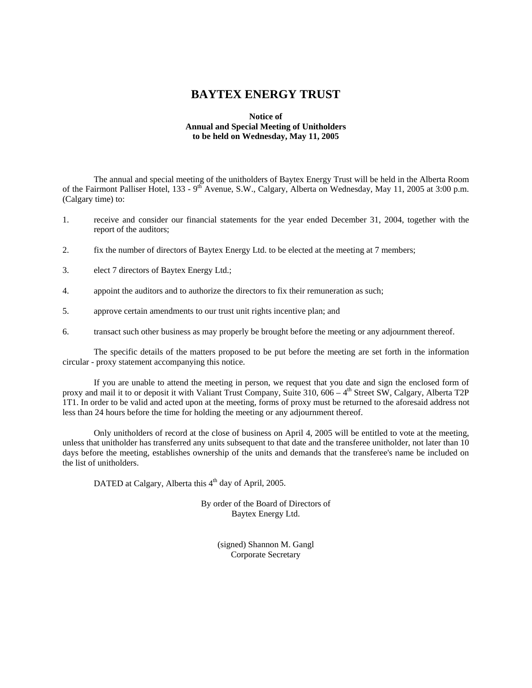# **BAYTEX ENERGY TRUST**

# **Notice of Annual and Special Meeting of Unitholders to be held on Wednesday, May 11, 2005**

The annual and special meeting of the unitholders of Baytex Energy Trust will be held in the Alberta Room of the Fairmont Palliser Hotel, 133 - 9<sup>th</sup> Avenue, S.W., Calgary, Alberta on Wednesday, May 11, 2005 at 3:00 p.m. (Calgary time) to:

- 1. receive and consider our financial statements for the year ended December 31, 2004, together with the report of the auditors;
- 2. fix the number of directors of Baytex Energy Ltd. to be elected at the meeting at 7 members;
- 3. elect 7 directors of Baytex Energy Ltd.;
- 4. appoint the auditors and to authorize the directors to fix their remuneration as such;
- 5. approve certain amendments to our trust unit rights incentive plan; and
- 6. transact such other business as may properly be brought before the meeting or any adjournment thereof.

The specific details of the matters proposed to be put before the meeting are set forth in the information circular - proxy statement accompanying this notice.

If you are unable to attend the meeting in person, we request that you date and sign the enclosed form of proxy and mail it to or deposit it with Valiant Trust Company, Suite  $310, 606 - 4$ <sup>th</sup> Street SW, Calgary, Alberta T2P 1T1. In order to be valid and acted upon at the meeting, forms of proxy must be returned to the aforesaid address not less than 24 hours before the time for holding the meeting or any adjournment thereof.

Only unitholders of record at the close of business on April 4, 2005 will be entitled to vote at the meeting, unless that unitholder has transferred any units subsequent to that date and the transferee unitholder, not later than 10 days before the meeting, establishes ownership of the units and demands that the transferee's name be included on the list of unitholders.

DATED at Calgary, Alberta this 4<sup>th</sup> day of April, 2005.

By order of the Board of Directors of Baytex Energy Ltd.

> (signed) Shannon M. Gangl Corporate Secretary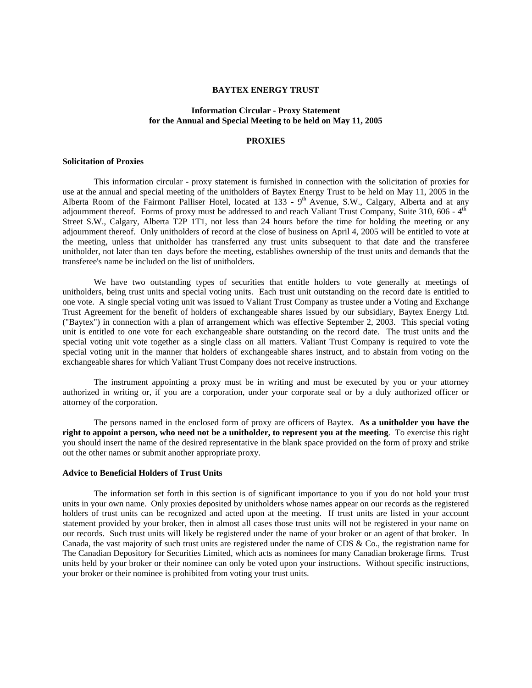# **BAYTEX ENERGY TRUST**

# **Information Circular - Proxy Statement for the Annual and Special Meeting to be held on May 11, 2005**

# **PROXIES**

#### **Solicitation of Proxies**

This information circular - proxy statement is furnished in connection with the solicitation of proxies for use at the annual and special meeting of the unitholders of Baytex Energy Trust to be held on May 11, 2005 in the Alberta Room of the Fairmont Palliser Hotel, located at 133 - 9<sup>th</sup> Avenue, S.W., Calgary, Alberta and at any adjournment thereof. Forms of proxy must be addressed to and reach Valiant Trust Company, Suite 310, 606 -  $4<sup>th</sup>$ Street S.W., Calgary, Alberta T2P 1T1, not less than 24 hours before the time for holding the meeting or any adjournment thereof. Only unitholders of record at the close of business on April 4, 2005 will be entitled to vote at the meeting, unless that unitholder has transferred any trust units subsequent to that date and the transferee unitholder, not later than ten days before the meeting, establishes ownership of the trust units and demands that the transferee's name be included on the list of unitholders.

We have two outstanding types of securities that entitle holders to vote generally at meetings of unitholders, being trust units and special voting units. Each trust unit outstanding on the record date is entitled to one vote. A single special voting unit was issued to Valiant Trust Company as trustee under a Voting and Exchange Trust Agreement for the benefit of holders of exchangeable shares issued by our subsidiary, Baytex Energy Ltd. ("Baytex") in connection with a plan of arrangement which was effective September 2, 2003. This special voting unit is entitled to one vote for each exchangeable share outstanding on the record date. The trust units and the special voting unit vote together as a single class on all matters. Valiant Trust Company is required to vote the special voting unit in the manner that holders of exchangeable shares instruct, and to abstain from voting on the exchangeable shares for which Valiant Trust Company does not receive instructions.

The instrument appointing a proxy must be in writing and must be executed by you or your attorney authorized in writing or, if you are a corporation, under your corporate seal or by a duly authorized officer or attorney of the corporation.

The persons named in the enclosed form of proxy are officers of Baytex. **As a unitholder you have the right to appoint a person, who need not be a unitholder, to represent you at the meeting**. To exercise this right you should insert the name of the desired representative in the blank space provided on the form of proxy and strike out the other names or submit another appropriate proxy.

# **Advice to Beneficial Holders of Trust Units**

The information set forth in this section is of significant importance to you if you do not hold your trust units in your own name. Only proxies deposited by unitholders whose names appear on our records as the registered holders of trust units can be recognized and acted upon at the meeting. If trust units are listed in your account statement provided by your broker, then in almost all cases those trust units will not be registered in your name on our records. Such trust units will likely be registered under the name of your broker or an agent of that broker. In Canada, the vast majority of such trust units are registered under the name of CDS & Co., the registration name for The Canadian Depository for Securities Limited, which acts as nominees for many Canadian brokerage firms. Trust units held by your broker or their nominee can only be voted upon your instructions. Without specific instructions, your broker or their nominee is prohibited from voting your trust units.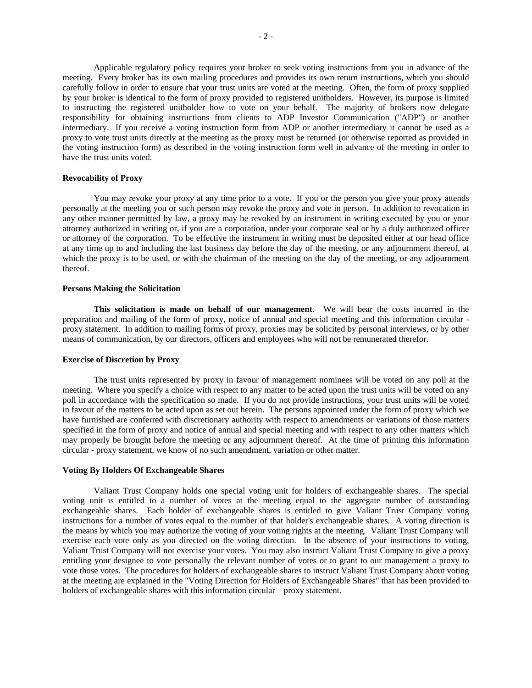Applicable regulatory policy requires your broker to seek voting instructions from you in advance of the meeting. Every broker has its own mailing procedures and provides its own return instructions, which you should carefully follow in order to ensure that your trust units are voted at the meeting. Often, the form of proxy supplied by your broker is identical to the form of proxy provided to registered unitholders. However, its purpose is limited to instructing the registered unitholder how to vote on your behalf. The majority of brokers now delegate responsibility for obtaining instructions from clients to ADP Investor Communication ("ADP") or another intermediary. If you receive a voting instruction form from ADP or another intermediary it cannot be used as a proxy to vote trust units directly at the meeting as the proxy must be returned (or otherwise reported as provided in the voting instruction form) as described in the voting instruction form well in advance of the meeting in order to have the trust units voted.

#### **Revocability of Proxy**

You may revoke your proxy at any time prior to a vote. If you or the person you give your proxy attends personally at the meeting you or such person may revoke the proxy and vote in person. In addition to revocation in any other manner permitted by law, a proxy may be revoked by an instrument in writing executed by you or your attorney authorized in writing or, if you are a corporation, under your corporate seal or by a duly authorized officer or attorney of the corporation. To be effective the instrument in writing must be deposited either at our head office at any time up to and including the last business day before the day of the meeting, or any adjournment thereof, at which the proxy is to be used, or with the chairman of the meeting on the day of the meeting, or any adjournment thereof.

#### **Persons Making the Solicitation**

**This solicitation is made on behalf of our management**. We will bear the costs incurred in the preparation and mailing of the form of proxy, notice of annual and special meeting and this information circular proxy statement. In addition to mailing forms of proxy, proxies may be solicited by personal interviews, or by other means of communication, by our directors, officers and employees who will not be remunerated therefor.

#### **Exercise of Discretion by Proxy**

The trust units represented by proxy in favour of management nominees will be voted on any poll at the meeting. Where you specify a choice with respect to any matter to be acted upon the trust units will be voted on any poll in accordance with the specification so made. If you do not provide instructions, your trust units will be voted in favour of the matters to be acted upon as set out herein. The persons appointed under the form of proxy which we have furnished are conferred with discretionary authority with respect to amendments or variations of those matters specified in the form of proxy and notice of annual and special meeting and with respect to any other matters which may properly be brought before the meeting or any adjournment thereof. At the time of printing this information circular - proxy statement, we know of no such amendment, variation or other matter.

#### **Voting By Holders Of Exchangeable Shares**

Valiant Trust Company holds one special voting unit for holders of exchangeable shares. The special voting unit is entitled to a number of votes at the meeting equal to the aggregate number of outstanding exchangeable shares. Each holder of exchangeable shares is entitled to give Valiant Trust Company voting instructions for a number of votes equal to the number of that holder's exchangeable shares. A voting direction is the means by which you may authorize the voting of your voting rights at the meeting. Valiant Trust Company will exercise each vote only as you directed on the voting direction. In the absence of your instructions to voting, Valiant Trust Company will not exercise your votes. You may also instruct Valiant Trust Company to give a proxy entitling your designee to vote personally the relevant number of votes or to grant to our management a proxy to vote those votes. The procedures for holders of exchangeable shares to instruct Valiant Trust Company about voting at the meeting are explained in the "Voting Direction for Holders of Exchangeable Shares" that has been provided to holders of exchangeable shares with this information circular – proxy statement.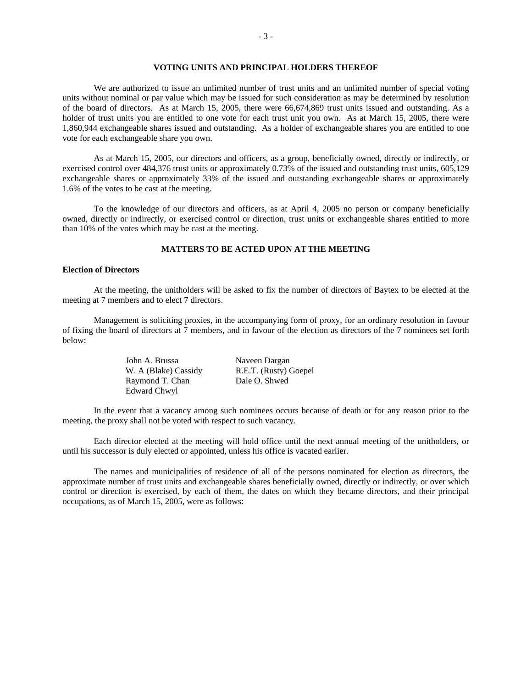# **VOTING UNITS AND PRINCIPAL HOLDERS THEREOF**

We are authorized to issue an unlimited number of trust units and an unlimited number of special voting units without nominal or par value which may be issued for such consideration as may be determined by resolution of the board of directors. As at March 15, 2005, there were 66,674,869 trust units issued and outstanding. As a holder of trust units you are entitled to one vote for each trust unit you own. As at March 15, 2005, there were 1,860,944 exchangeable shares issued and outstanding. As a holder of exchangeable shares you are entitled to one vote for each exchangeable share you own.

As at March 15, 2005, our directors and officers, as a group, beneficially owned, directly or indirectly, or exercised control over 484,376 trust units or approximately 0.73% of the issued and outstanding trust units, 605,129 exchangeable shares or approximately 33% of the issued and outstanding exchangeable shares or approximately 1.6% of the votes to be cast at the meeting.

To the knowledge of our directors and officers, as at April 4, 2005 no person or company beneficially owned, directly or indirectly, or exercised control or direction, trust units or exchangeable shares entitled to more than 10% of the votes which may be cast at the meeting.

# **MATTERS TO BE ACTED UPON ATTHE MEETING**

#### **Election of Directors**

At the meeting, the unitholders will be asked to fix the number of directors of Baytex to be elected at the meeting at 7 members and to elect 7 directors.

Management is soliciting proxies, in the accompanying form of proxy, for an ordinary resolution in favour of fixing the board of directors at 7 members, and in favour of the election as directors of the 7 nominees set forth below:

| John A. Brussa       | Naveen Dargan         |
|----------------------|-----------------------|
| W. A (Blake) Cassidy | R.E.T. (Rusty) Goepel |
| Raymond T. Chan      | Dale O. Shwed         |
| Edward Chwyl         |                       |

In the event that a vacancy among such nominees occurs because of death or for any reason prior to the meeting, the proxy shall not be voted with respect to such vacancy.

Each director elected at the meeting will hold office until the next annual meeting of the unitholders, or until his successor is duly elected or appointed, unless his office is vacated earlier.

The names and municipalities of residence of all of the persons nominated for election as directors, the approximate number of trust units and exchangeable shares beneficially owned, directly or indirectly, or over which control or direction is exercised, by each of them, the dates on which they became directors, and their principal occupations, as of March 15, 2005, were as follows: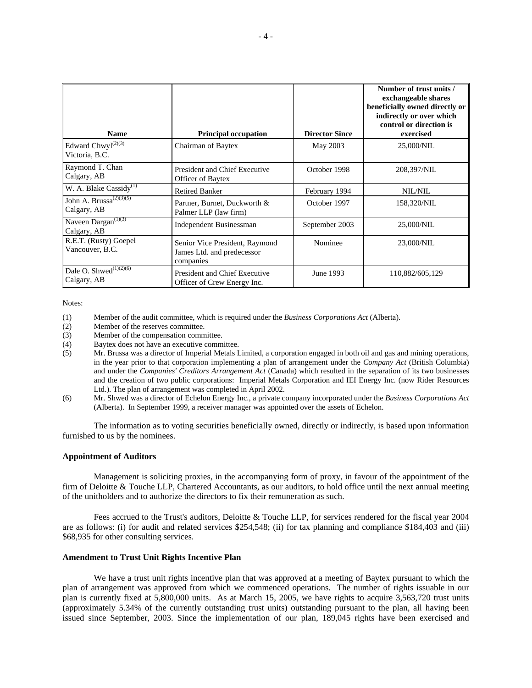| <b>Name</b>                                        | <b>Principal occupation</b>                                               | <b>Director Since</b> | Number of trust units /<br>exchangeable shares<br>beneficially owned directly or<br>indirectly or over which<br>control or direction is<br>exercised |
|----------------------------------------------------|---------------------------------------------------------------------------|-----------------------|------------------------------------------------------------------------------------------------------------------------------------------------------|
| Edward Chwyl <sup>(2)(3)</sup><br>Victoria, B.C.   | Chairman of Baytex                                                        | May 2003              | 25,000/NIL                                                                                                                                           |
| Raymond T. Chan<br>Calgary, AB                     | <b>President and Chief Executive</b><br>Officer of Baytex                 | October 1998          | 208,397/NIL                                                                                                                                          |
| W. A. Blake Cassidy <sup>(1)</sup>                 | <b>Retired Banker</b>                                                     | February 1994         | NIL/NIL                                                                                                                                              |
| John A. Brussa <sup>(2)(3)(5)</sup><br>Calgary, AB | Partner, Burnet, Duckworth &<br>Palmer LLP (law firm)                     | October 1997          | 158,320/NIL                                                                                                                                          |
| Naveen Dargan <sup>(1)(3)</sup><br>Calgary, AB     | <b>Independent Businessman</b>                                            | September 2003        | 25,000/NIL                                                                                                                                           |
| R.E.T. (Rusty) Goepel<br>Vancouver, B.C.           | Senior Vice President, Raymond<br>James Ltd. and predecessor<br>companies | Nominee               | 23,000/NIL                                                                                                                                           |
| Dale O. Shwed $(1)(2)(6)$<br>Calgary, AB           | President and Chief Executive<br>Officer of Crew Energy Inc.              | June 1993             | 110,882/605,129                                                                                                                                      |

Notes:

- (1) Member of the audit committee, which is required under the *Business Corporations Act* (Alberta).
- (2) Member of the reserves committee.
- (3) Member of the compensation committee.
- (4) Baytex does not have an executive committee.
- (5) Mr. Brussa was a director of Imperial Metals Limited, a corporation engaged in both oil and gas and mining operations, in the year prior to that corporation implementing a plan of arrangement under the *Company Act* (British Columbia) and under the *Companies' Creditors Arrangement Act* (Canada) which resulted in the separation of its two businesses and the creation of two public corporations: Imperial Metals Corporation and IEI Energy Inc. (now Rider Resources Ltd.). The plan of arrangement was completed in April 2002.
- (6) Mr. Shwed was a director of Echelon Energy Inc., a private company incorporated under the *Business Corporations Act* (Alberta). In September 1999, a receiver manager was appointed over the assets of Echelon.

The information as to voting securities beneficially owned, directly or indirectly, is based upon information furnished to us by the nominees.

## **Appointment of Auditors**

Management is soliciting proxies, in the accompanying form of proxy, in favour of the appointment of the firm of Deloitte & Touche LLP, Chartered Accountants, as our auditors, to hold office until the next annual meeting of the unitholders and to authorize the directors to fix their remuneration as such.

Fees accrued to the Trust's auditors, Deloitte & Touche LLP, for services rendered for the fiscal year 2004 are as follows: (i) for audit and related services \$254,548; (ii) for tax planning and compliance \$184,403 and (iii) \$68,935 for other consulting services.

# **Amendment to Trust Unit Rights Incentive Plan**

We have a trust unit rights incentive plan that was approved at a meeting of Baytex pursuant to which the plan of arrangement was approved from which we commenced operations. The number of rights issuable in our plan is currently fixed at 5,800,000 units. As at March 15, 2005, we have rights to acquire 3,563,720 trust units (approximately 5.34% of the currently outstanding trust units) outstanding pursuant to the plan, all having been issued since September, 2003. Since the implementation of our plan, 189,045 rights have been exercised and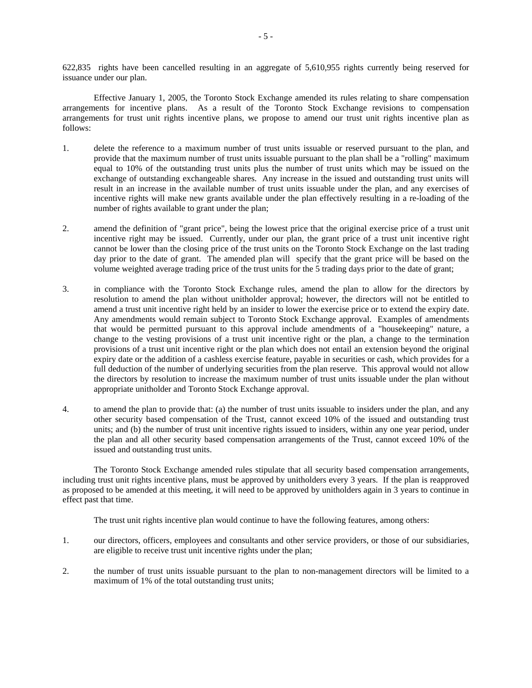622,835 rights have been cancelled resulting in an aggregate of 5,610,955 rights currently being reserved for issuance under our plan.

Effective January 1, 2005, the Toronto Stock Exchange amended its rules relating to share compensation arrangements for incentive plans. As a result of the Toronto Stock Exchange revisions to compensation arrangements for trust unit rights incentive plans, we propose to amend our trust unit rights incentive plan as follows:

- 1. delete the reference to a maximum number of trust units issuable or reserved pursuant to the plan, and provide that the maximum number of trust units issuable pursuant to the plan shall be a "rolling" maximum equal to 10% of the outstanding trust units plus the number of trust units which may be issued on the exchange of outstanding exchangeable shares. Any increase in the issued and outstanding trust units will result in an increase in the available number of trust units issuable under the plan, and any exercises of incentive rights will make new grants available under the plan effectively resulting in a re-loading of the number of rights available to grant under the plan;
- 2. amend the definition of "grant price", being the lowest price that the original exercise price of a trust unit incentive right may be issued. Currently, under our plan, the grant price of a trust unit incentive right cannot be lower than the closing price of the trust units on the Toronto Stock Exchange on the last trading day prior to the date of grant. The amended plan will specify that the grant price will be based on the volume weighted average trading price of the trust units for the 5 trading days prior to the date of grant;
- 3. in compliance with the Toronto Stock Exchange rules, amend the plan to allow for the directors by resolution to amend the plan without unitholder approval; however, the directors will not be entitled to amend a trust unit incentive right held by an insider to lower the exercise price or to extend the expiry date. Any amendments would remain subject to Toronto Stock Exchange approval. Examples of amendments that would be permitted pursuant to this approval include amendments of a "housekeeping" nature, a change to the vesting provisions of a trust unit incentive right or the plan, a change to the termination provisions of a trust unit incentive right or the plan which does not entail an extension beyond the original expiry date or the addition of a cashless exercise feature, payable in securities or cash, which provides for a full deduction of the number of underlying securities from the plan reserve. This approval would not allow the directors by resolution to increase the maximum number of trust units issuable under the plan without appropriate unitholder and Toronto Stock Exchange approval.
- 4. to amend the plan to provide that: (a) the number of trust units issuable to insiders under the plan, and any other security based compensation of the Trust, cannot exceed 10% of the issued and outstanding trust units; and (b) the number of trust unit incentive rights issued to insiders, within any one year period, under the plan and all other security based compensation arrangements of the Trust, cannot exceed 10% of the issued and outstanding trust units.

The Toronto Stock Exchange amended rules stipulate that all security based compensation arrangements, including trust unit rights incentive plans, must be approved by unitholders every 3 years. If the plan is reapproved as proposed to be amended at this meeting, it will need to be approved by unitholders again in 3 years to continue in effect past that time.

The trust unit rights incentive plan would continue to have the following features, among others:

- 1. our directors, officers, employees and consultants and other service providers, or those of our subsidiaries, are eligible to receive trust unit incentive rights under the plan;
- 2. the number of trust units issuable pursuant to the plan to non-management directors will be limited to a maximum of 1% of the total outstanding trust units;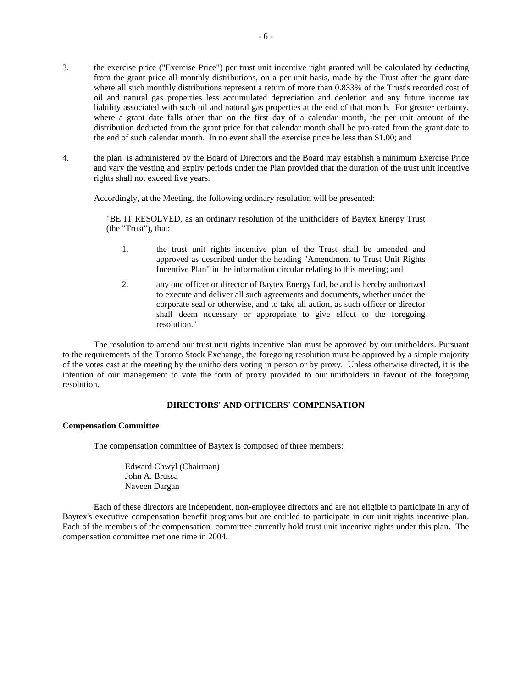- 3. the exercise price ("Exercise Price") per trust unit incentive right granted will be calculated by deducting from the grant price all monthly distributions, on a per unit basis, made by the Trust after the grant date where all such monthly distributions represent a return of more than 0.833% of the Trust's recorded cost of oil and natural gas properties less accumulated depreciation and depletion and any future income tax liability associated with such oil and natural gas properties at the end of that month. For greater certainty, where a grant date falls other than on the first day of a calendar month, the per unit amount of the distribution deducted from the grant price for that calendar month shall be pro-rated from the grant date to the end of such calendar month. In no event shall the exercise price be less than \$1.00; and
- 4. the plan is administered by the Board of Directors and the Board may establish a minimum Exercise Price and vary the vesting and expiry periods under the Plan provided that the duration of the trust unit incentive rights shall not exceed five years.

Accordingly, at the Meeting, the following ordinary resolution will be presented:

"BE IT RESOLVED, as an ordinary resolution of the unitholders of Baytex Energy Trust (the "Trust"), that:

- 1. the trust unit rights incentive plan of the Trust shall be amended and approved as described under the heading "Amendment to Trust Unit Rights Incentive Plan" in the information circular relating to this meeting; and
- 2. any one officer or director of Baytex Energy Ltd. be and is hereby authorized to execute and deliver all such agreements and documents, whether under the corporate seal or otherwise, and to take all action, as such officer or director shall deem necessary or appropriate to give effect to the foregoing resolution."

The resolution to amend our trust unit rights incentive plan must be approved by our unitholders. Pursuant to the requirements of the Toronto Stock Exchange, the foregoing resolution must be approved by a simple majority of the votes cast at the meeting by the unitholders voting in person or by proxy. Unless otherwise directed, it is the intention of our management to vote the form of proxy provided to our unitholders in favour of the foregoing resolution.

# **DIRECTORS' AND OFFICERS' COMPENSATION**

## **Compensation Committee**

The compensation committee of Baytex is composed of three members:

Edward Chwyl (Chairman) John A. Brussa Naveen Dargan

Each of these directors are independent, non-employee directors and are not eligible to participate in any of Baytex's executive compensation benefit programs but are entitled to participate in our unit rights incentive plan. Each of the members of the compensation committee currently hold trust unit incentive rights under this plan. The compensation committee met one time in 2004.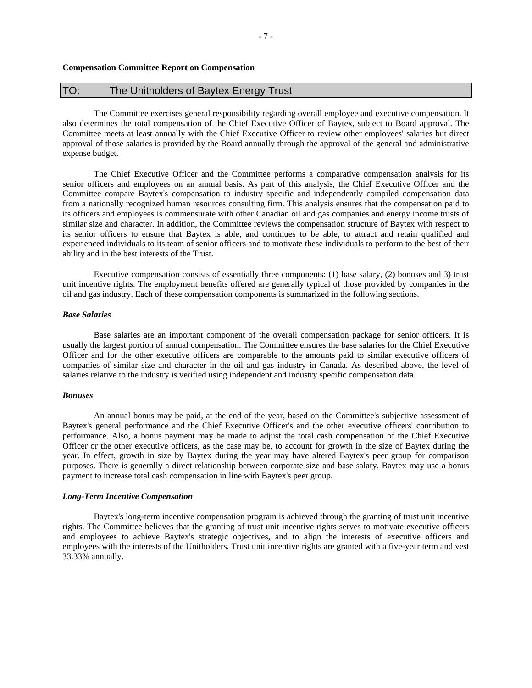# TO: The Unitholders of Baytex Energy Trust

The Committee exercises general responsibility regarding overall employee and executive compensation. It also determines the total compensation of the Chief Executive Officer of Baytex, subject to Board approval. The Committee meets at least annually with the Chief Executive Officer to review other employees' salaries but direct approval of those salaries is provided by the Board annually through the approval of the general and administrative expense budget.

The Chief Executive Officer and the Committee performs a comparative compensation analysis for its senior officers and employees on an annual basis. As part of this analysis, the Chief Executive Officer and the Committee compare Baytex's compensation to industry specific and independently compiled compensation data from a nationally recognized human resources consulting firm. This analysis ensures that the compensation paid to its officers and employees is commensurate with other Canadian oil and gas companies and energy income trusts of similar size and character. In addition, the Committee reviews the compensation structure of Baytex with respect to its senior officers to ensure that Baytex is able, and continues to be able, to attract and retain qualified and experienced individuals to its team of senior officers and to motivate these individuals to perform to the best of their ability and in the best interests of the Trust.

Executive compensation consists of essentially three components: (1) base salary, (2) bonuses and 3) trust unit incentive rights. The employment benefits offered are generally typical of those provided by companies in the oil and gas industry. Each of these compensation components is summarized in the following sections.

# *Base Salaries*

Base salaries are an important component of the overall compensation package for senior officers. It is usually the largest portion of annual compensation. The Committee ensures the base salaries for the Chief Executive Officer and for the other executive officers are comparable to the amounts paid to similar executive officers of companies of similar size and character in the oil and gas industry in Canada. As described above, the level of salaries relative to the industry is verified using independent and industry specific compensation data.

#### *Bonuses*

An annual bonus may be paid, at the end of the year, based on the Committee's subjective assessment of Baytex's general performance and the Chief Executive Officer's and the other executive officers' contribution to performance. Also, a bonus payment may be made to adjust the total cash compensation of the Chief Executive Officer or the other executive officers, as the case may be, to account for growth in the size of Baytex during the year. In effect, growth in size by Baytex during the year may have altered Baytex's peer group for comparison purposes. There is generally a direct relationship between corporate size and base salary. Baytex may use a bonus payment to increase total cash compensation in line with Baytex's peer group.

## *Long-Term Incentive Compensation*

Baytex's long-term incentive compensation program is achieved through the granting of trust unit incentive rights. The Committee believes that the granting of trust unit incentive rights serves to motivate executive officers and employees to achieve Baytex's strategic objectives, and to align the interests of executive officers and employees with the interests of the Unitholders. Trust unit incentive rights are granted with a five-year term and vest 33.33% annually.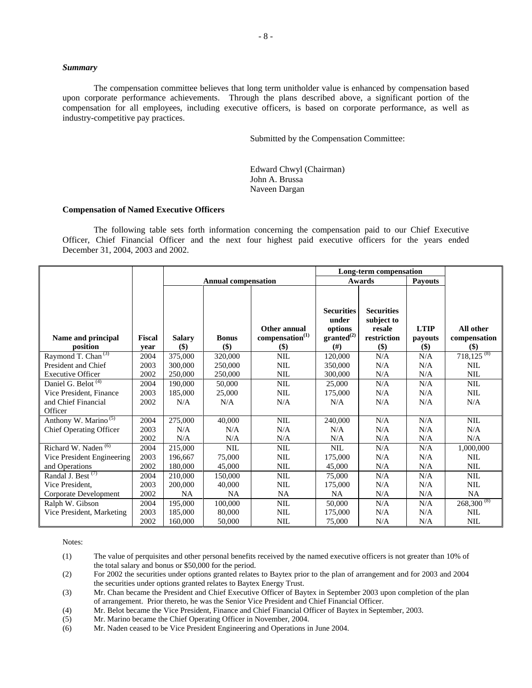# *Summary*

The compensation committee believes that long term unitholder value is enhanced by compensation based upon corporate performance achievements. Through the plans described above, a significant portion of the compensation for all employees, including executive officers, is based on corporate performance, as well as industry-competitive pay practices.

Submitted by the Compensation Committee:

Edward Chwyl (Chairman) John A. Brussa Naveen Dargan

## **Compensation of Named Executive Officers**

The following table sets forth information concerning the compensation paid to our Chief Executive Officer, Chief Financial Officer and the next four highest paid executive officers for the years ended December 31, 2004, 2003 and 2002.

|                                  |                       |                                            |                            | Long-term compensation                             |                                                                       |                                                                 |                                  |                                  |
|----------------------------------|-----------------------|--------------------------------------------|----------------------------|----------------------------------------------------|-----------------------------------------------------------------------|-----------------------------------------------------------------|----------------------------------|----------------------------------|
|                                  |                       |                                            | <b>Annual compensation</b> |                                                    |                                                                       | <b>Awards</b>                                                   | <b>Payouts</b>                   |                                  |
| Name and principal<br>position   | <b>Fiscal</b><br>vear | <b>Salary</b><br>$\left( \text{\$}\right)$ | <b>Bonus</b><br>\$)        | Other annual<br>compensation <sup>(1)</sup><br>\$) | <b>Securities</b><br>under<br>options<br>granted <sup>(2)</sup><br>#) | <b>Securities</b><br>subject to<br>resale<br>restriction<br>\$) | <b>LTIP</b><br>payouts<br>$($ \$ | All other<br>compensation<br>\$) |
| Raymond T. Chan <sup>(3)</sup>   | 2004                  | 375,000                                    | 320,000                    | <b>NIL</b>                                         | 120,000                                                               | N/A                                                             | N/A                              | $718,125^{(8)}$                  |
| President and Chief              | 2003                  | 300,000                                    | 250,000                    | <b>NIL</b>                                         | 350,000                                                               | N/A                                                             | N/A                              | <b>NIL</b>                       |
| <b>Executive Officer</b>         | 2002                  | 250,000                                    | 250,000                    | <b>NIL</b>                                         | 300,000                                                               | N/A                                                             | N/A                              | <b>NIL</b>                       |
| Daniel G. Belot <sup>(4)</sup>   | 2004                  | 190,000                                    | 50,000                     | <b>NIL</b>                                         | 25,000                                                                | N/A                                                             | N/A                              | NIL                              |
| Vice President, Finance          | 2003                  | 185,000                                    | 25,000                     | <b>NIL</b>                                         | 175,000                                                               | N/A                                                             | N/A                              | <b>NIL</b>                       |
| and Chief Financial              | 2002                  | N/A                                        | N/A                        | N/A                                                | N/A                                                                   | N/A                                                             | N/A                              | N/A                              |
| Officer                          |                       |                                            |                            |                                                    |                                                                       |                                                                 |                                  |                                  |
| Anthony W. Marino <sup>(5)</sup> | 2004                  | 275,000                                    | 40,000                     | <b>NIL</b>                                         | 240,000                                                               | N/A                                                             | N/A                              | <b>NIL</b>                       |
| <b>Chief Operating Officer</b>   | 2003                  | N/A                                        | N/A                        | N/A                                                | N/A                                                                   | N/A                                                             | N/A                              | N/A                              |
|                                  | 2002                  | N/A                                        | N/A                        | N/A                                                | N/A                                                                   | N/A                                                             | N/A                              | N/A                              |
| Richard W. Naden <sup>(6)</sup>  | 2004                  | 215,000                                    | <b>NIL</b>                 | <b>NIL</b>                                         | <b>NIL</b>                                                            | N/A                                                             | N/A                              | 1,000,000                        |
| Vice President Engineering       | 2003                  | 196,667                                    | 75,000                     | <b>NIL</b>                                         | 175,000                                                               | N/A                                                             | N/A                              | <b>NIL</b>                       |
| and Operations                   | 2002                  | 180,000                                    | 45,000                     | NIL                                                | 45,000                                                                | N/A                                                             | N/A                              | <b>NIL</b>                       |
| Randal J. Best $(7)$             | 2004                  | 210,000                                    | 150,000                    | <b>NIL</b>                                         | 75,000                                                                | N/A                                                             | N/A                              | <b>NIL</b>                       |
| Vice President.                  | 2003                  | 200,000                                    | 40,000                     | <b>NIL</b>                                         | 175,000                                                               | N/A                                                             | N/A                              | <b>NIL</b>                       |
| Corporate Development            | 2002                  | <b>NA</b>                                  | <b>NA</b>                  | <b>NA</b>                                          | NA                                                                    | N/A                                                             | N/A                              | <b>NA</b>                        |
| Ralph W. Gibson                  | 2004                  | 195,000                                    | 100,000                    | NIL                                                | 50,000                                                                | N/A                                                             | N/A                              | $268,300^{(8)}$                  |
| Vice President, Marketing        | 2003                  | 185,000                                    | 80,000                     | <b>NIL</b>                                         | 175,000                                                               | N/A                                                             | N/A                              | <b>NIL</b>                       |
|                                  | 2002                  | 160,000                                    | 50,000                     | NIL                                                | 75,000                                                                | N/A                                                             | N/A                              | <b>NIL</b>                       |

Notes:

(1) The value of perquisites and other personal benefits received by the named executive officers is not greater than 10% of the total salary and bonus or \$50,000 for the period.

(2) For 2002 the securities under options granted relates to Baytex prior to the plan of arrangement and for 2003 and 2004 the securities under options granted relates to Baytex Energy Trust.

(3) Mr. Chan became the President and Chief Executive Officer of Baytex in September 2003 upon completion of the plan of arrangement. Prior thereto, he was the Senior Vice President and Chief Financial Officer.

(4) Mr. Belot became the Vice President, Finance and Chief Financial Officer of Baytex in September, 2003.

(5) Mr. Marino became the Chief Operating Officer in November, 2004.

(6) Mr. Naden ceased to be Vice President Engineering and Operations in June 2004.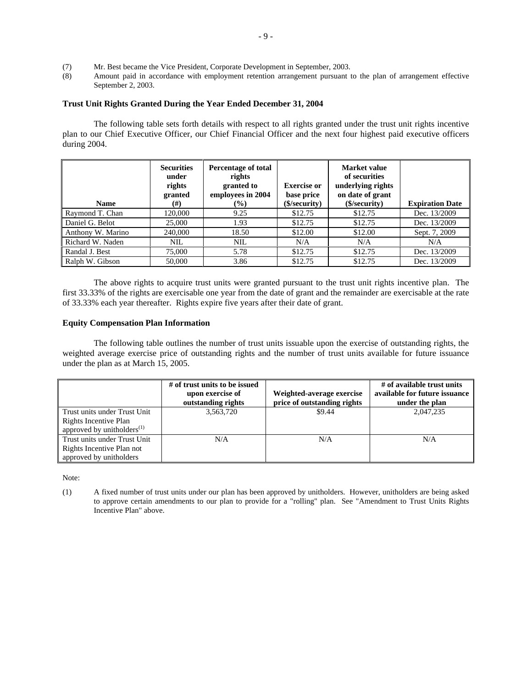- (7) Mr. Best became the Vice President, Corporate Development in September, 2003.
- (8) Amount paid in accordance with employment retention arrangement pursuant to the plan of arrangement effective September 2, 2003.

# **Trust Unit Rights Granted During the Year Ended December 31, 2004**

The following table sets forth details with respect to all rights granted under the trust unit rights incentive plan to our Chief Executive Officer, our Chief Financial Officer and the next four highest paid executive officers during 2004.

|                   | <b>Securities</b><br>under<br>rights<br>granted | Percentage of total<br>rights<br>granted to<br>employees in 2004 | <b>Exercise or</b><br>base price | Market value<br>of securities<br>underlying rights<br>on date of grant |                        |
|-------------------|-------------------------------------------------|------------------------------------------------------------------|----------------------------------|------------------------------------------------------------------------|------------------------|
| <b>Name</b>       | $^{(#)}$                                        | $(\%)$                                                           | (\$/security)                    | (\$/security)                                                          | <b>Expiration Date</b> |
| Raymond T. Chan   | 120,000                                         | 9.25                                                             | \$12.75                          | \$12.75                                                                | Dec. 13/2009           |
| Daniel G. Belot   | 25,000                                          | 1.93                                                             | \$12.75                          | \$12.75                                                                | Dec. 13/2009           |
| Anthony W. Marino | 240,000                                         | 18.50                                                            | \$12.00                          | \$12.00                                                                | Sept. 7, 2009          |
| Richard W. Naden  | <b>NIL</b>                                      | <b>NIL</b>                                                       | N/A                              | N/A                                                                    | N/A                    |
| Randal J. Best    | 75,000                                          | 5.78                                                             | \$12.75                          | \$12.75                                                                | Dec. 13/2009           |
| Ralph W. Gibson   | 50,000                                          | 3.86                                                             | \$12.75                          | \$12.75                                                                | Dec. 13/2009           |

The above rights to acquire trust units were granted pursuant to the trust unit rights incentive plan. The first 33.33% of the rights are exercisable one year from the date of grant and the remainder are exercisable at the rate of 33.33% each year thereafter. Rights expire five years after their date of grant.

#### **Equity Compensation Plan Information**

The following table outlines the number of trust units issuable upon the exercise of outstanding rights, the weighted average exercise price of outstanding rights and the number of trust units available for future issuance under the plan as at March 15, 2005.

|                                  | # of trust units to be issued<br>upon exercise of<br>outstanding rights | Weighted-average exercise<br>price of outstanding rights | # of available trust units<br>available for future issuance<br>under the plan |
|----------------------------------|-------------------------------------------------------------------------|----------------------------------------------------------|-------------------------------------------------------------------------------|
| Trust units under Trust Unit     | 3,563,720                                                               | \$9.44                                                   | 2,047,235                                                                     |
| Rights Incentive Plan            |                                                                         |                                                          |                                                                               |
| approved by unitholders $^{(1)}$ |                                                                         |                                                          |                                                                               |
| Trust units under Trust Unit     | N/A                                                                     | N/A                                                      | N/A                                                                           |
| Rights Incentive Plan not        |                                                                         |                                                          |                                                                               |
| approved by unitholders          |                                                                         |                                                          |                                                                               |

Note:

(1) A fixed number of trust units under our plan has been approved by unitholders. However, unitholders are being asked to approve certain amendments to our plan to provide for a "rolling" plan. See "Amendment to Trust Units Rights Incentive Plan" above.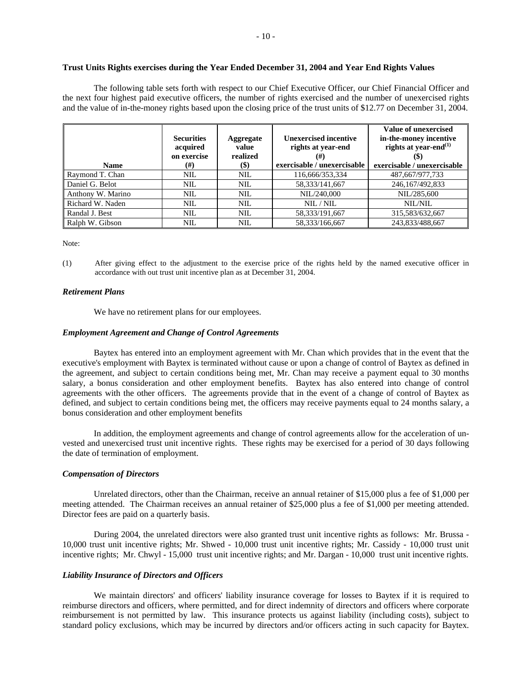# **Trust Units Rights exercises during the Year Ended December 31, 2004 and Year End Rights Values**

The following table sets forth with respect to our Chief Executive Officer, our Chief Financial Officer and the next four highest paid executive officers, the number of rights exercised and the number of unexercised rights and the value of in-the-money rights based upon the closing price of the trust units of \$12.77 on December 31, 2004.

| <b>Name</b>       | <b>Securities</b><br>acquired<br>on exercise<br>$^{(#)}$ | Aggregate<br>value<br>realized<br>\$) | <b>Unexercised incentive</b><br>rights at year-end<br>(#)<br>exercisable / unexercisable | Value of unexercised<br>in-the-money incentive<br>rights at year-end <sup>(1)</sup><br>exercisable / unexercisable |
|-------------------|----------------------------------------------------------|---------------------------------------|------------------------------------------------------------------------------------------|--------------------------------------------------------------------------------------------------------------------|
| Raymond T. Chan   | <b>NIL</b>                                               | <b>NIL</b>                            | 116,666/353,334                                                                          | 487,667/977,733                                                                                                    |
| Daniel G. Belot   | NIL                                                      | <b>NIL</b>                            | 58,333/141,667                                                                           | 246,167/492,833                                                                                                    |
| Anthony W. Marino | NIL                                                      | <b>NIL</b>                            | NIL/240,000                                                                              | NIL/285.600                                                                                                        |
| Richard W. Naden  | <b>NIL</b>                                               | <b>NIL</b>                            | NIL / NIL                                                                                | NIL/NIL                                                                                                            |
| Randal J. Best    | <b>NIL</b>                                               | <b>NIL</b>                            | 58,333/191,667                                                                           | 315,583/632,667                                                                                                    |
| Ralph W. Gibson   | NIL                                                      | <b>NIL</b>                            | 58.333/166.667                                                                           | 243,833/488,667                                                                                                    |

Note:

(1) After giving effect to the adjustment to the exercise price of the rights held by the named executive officer in accordance with out trust unit incentive plan as at December 31, 2004.

# *Retirement Plans*

We have no retirement plans for our employees.

#### *Employment Agreement and Change of Control Agreements*

Baytex has entered into an employment agreement with Mr. Chan which provides that in the event that the executive's employment with Baytex is terminated without cause or upon a change of control of Baytex as defined in the agreement, and subject to certain conditions being met, Mr. Chan may receive a payment equal to 30 months salary, a bonus consideration and other employment benefits. Baytex has also entered into change of control agreements with the other officers. The agreements provide that in the event of a change of control of Baytex as defined, and subject to certain conditions being met, the officers may receive payments equal to 24 months salary, a bonus consideration and other employment benefits

In addition, the employment agreements and change of control agreements allow for the acceleration of unvested and unexercised trust unit incentive rights. These rights may be exercised for a period of 30 days following the date of termination of employment.

#### *Compensation of Directors*

Unrelated directors, other than the Chairman, receive an annual retainer of \$15,000 plus a fee of \$1,000 per meeting attended. The Chairman receives an annual retainer of \$25,000 plus a fee of \$1,000 per meeting attended. Director fees are paid on a quarterly basis.

During 2004, the unrelated directors were also granted trust unit incentive rights as follows: Mr. Brussa - 10,000 trust unit incentive rights; Mr. Shwed - 10,000 trust unit incentive rights; Mr. Cassidy - 10,000 trust unit incentive rights; Mr. Chwyl - 15,000 trust unit incentive rights; and Mr. Dargan - 10,000 trust unit incentive rights.

#### *Liability Insurance of Directors and Officers*

We maintain directors' and officers' liability insurance coverage for losses to Baytex if it is required to reimburse directors and officers, where permitted, and for direct indemnity of directors and officers where corporate reimbursement is not permitted by law. This insurance protects us against liability (including costs), subject to standard policy exclusions, which may be incurred by directors and/or officers acting in such capacity for Baytex.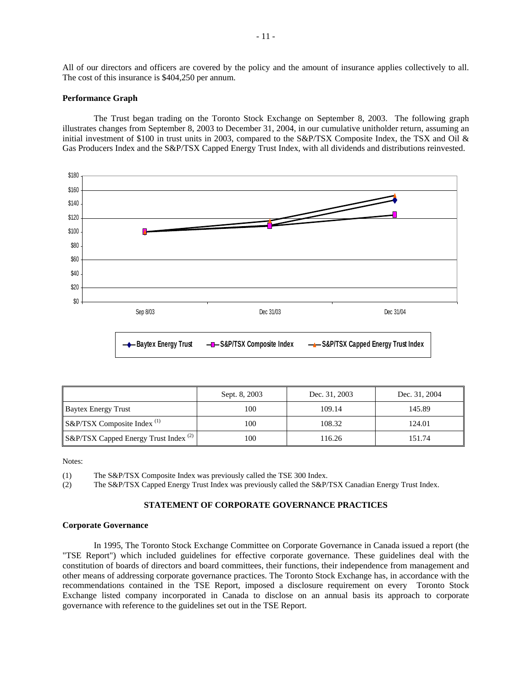All of our directors and officers are covered by the policy and the amount of insurance applies collectively to all. The cost of this insurance is \$404,250 per annum.

#### **Performance Graph**

The Trust began trading on the Toronto Stock Exchange on September 8, 2003. The following graph illustrates changes from September 8, 2003 to December 31, 2004, in our cumulative unitholder return, assuming an initial investment of \$100 in trust units in 2003, compared to the S&P/TSX Composite Index, the TSX and Oil & Gas Producers Index and the S&P/TSX Capped Energy Trust Index, with all dividends and distributions reinvested.



|                                                  | Sept. 8, 2003 | Dec. 31, 2003 | Dec. 31, 2004 |
|--------------------------------------------------|---------------|---------------|---------------|
| <b>Baytex Energy Trust</b>                       | 100           | 109.14        | 145.89        |
| S&P/TSX Composite Index <sup>(1)</sup>           | 100           | 108.32        | 124.01        |
| S&P/TSX Capped Energy Trust Index <sup>(2)</sup> | 100           | 116.26        | 151.74        |

Notes:

(1) The S&P/TSX Composite Index was previously called the TSE 300 Index.

(2) The S&P/TSX Capped Energy Trust Index was previously called the S&P/TSX Canadian Energy Trust Index.

# **STATEMENT OF CORPORATE GOVERNANCE PRACTICES**

#### **Corporate Governance**

In 1995, The Toronto Stock Exchange Committee on Corporate Governance in Canada issued a report (the "TSE Report") which included guidelines for effective corporate governance. These guidelines deal with the constitution of boards of directors and board committees, their functions, their independence from management and other means of addressing corporate governance practices. The Toronto Stock Exchange has, in accordance with the recommendations contained in the TSE Report, imposed a disclosure requirement on every Toronto Stock Exchange listed company incorporated in Canada to disclose on an annual basis its approach to corporate governance with reference to the guidelines set out in the TSE Report.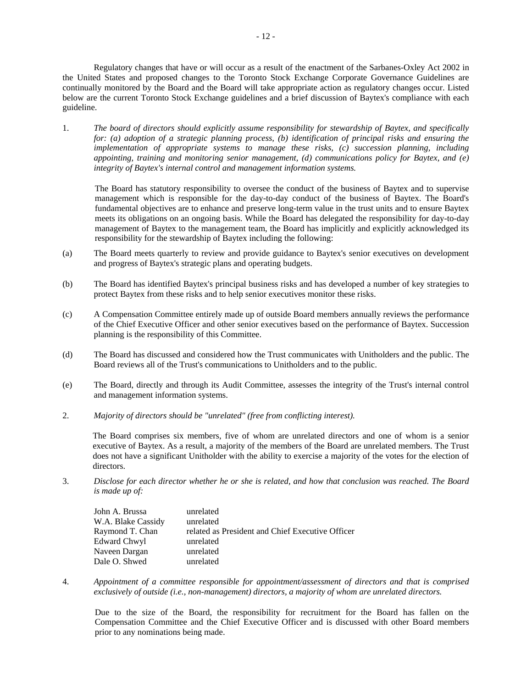Regulatory changes that have or will occur as a result of the enactment of the Sarbanes-Oxley Act 2002 in the United States and proposed changes to the Toronto Stock Exchange Corporate Governance Guidelines are continually monitored by the Board and the Board will take appropriate action as regulatory changes occur. Listed below are the current Toronto Stock Exchange guidelines and a brief discussion of Baytex's compliance with each guideline.

1. *The board of directors should explicitly assume responsibility for stewardship of Baytex, and specifically for: (a) adoption of a strategic planning process, (b) identification of principal risks and ensuring the implementation of appropriate systems to manage these risks, (c) succession planning, including appointing, training and monitoring senior management, (d) communications policy for Baytex, and (e) integrity of Baytex's internal control and management information systems.* 

The Board has statutory responsibility to oversee the conduct of the business of Baytex and to supervise management which is responsible for the day-to-day conduct of the business of Baytex. The Board's fundamental objectives are to enhance and preserve long-term value in the trust units and to ensure Baytex meets its obligations on an ongoing basis. While the Board has delegated the responsibility for day-to-day management of Baytex to the management team, the Board has implicitly and explicitly acknowledged its responsibility for the stewardship of Baytex including the following:

- (a) The Board meets quarterly to review and provide guidance to Baytex's senior executives on development and progress of Baytex's strategic plans and operating budgets.
- (b) The Board has identified Baytex's principal business risks and has developed a number of key strategies to protect Baytex from these risks and to help senior executives monitor these risks.
- (c) A Compensation Committee entirely made up of outside Board members annually reviews the performance of the Chief Executive Officer and other senior executives based on the performance of Baytex. Succession planning is the responsibility of this Committee.
- (d) The Board has discussed and considered how the Trust communicates with Unitholders and the public. The Board reviews all of the Trust's communications to Unitholders and to the public.
- (e) The Board, directly and through its Audit Committee, assesses the integrity of the Trust's internal control and management information systems.
- 2. *Majority of directors should be "unrelated" (free from conflicting interest).*

The Board comprises six members, five of whom are unrelated directors and one of whom is a senior executive of Baytex. As a result, a majority of the members of the Board are unrelated members. The Trust does not have a significant Unitholder with the ability to exercise a majority of the votes for the election of directors.

3. *Disclose for each director whether he or she is related, and how that conclusion was reached. The Board is made up of:* 

| John A. Brussa     | unrelated                                        |
|--------------------|--------------------------------------------------|
| W.A. Blake Cassidy | unrelated                                        |
| Raymond T. Chan    | related as President and Chief Executive Officer |
| Edward Chwyl       | unrelated                                        |
| Naveen Dargan      | unrelated                                        |
| Dale O. Shwed      | unrelated                                        |

4. *Appointment of a committee responsible for appointment/assessment of directors and that is comprised exclusively of outside (i.e., non-management) directors, a majority of whom are unrelated directors.* 

Due to the size of the Board, the responsibility for recruitment for the Board has fallen on the Compensation Committee and the Chief Executive Officer and is discussed with other Board members prior to any nominations being made.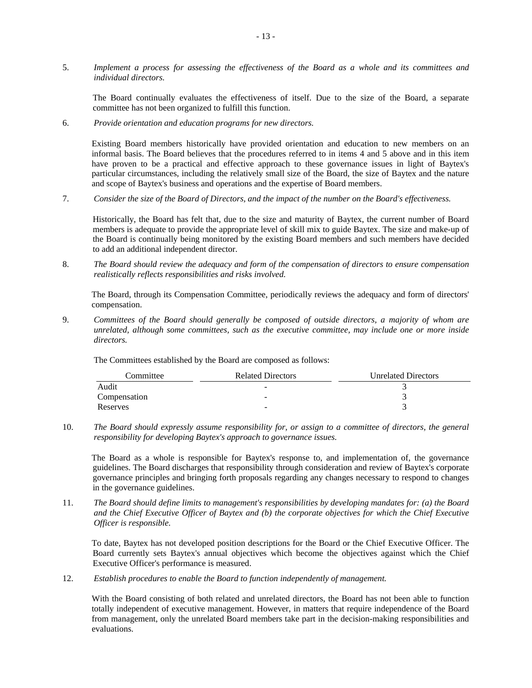5. *Implement a process for assessing the effectiveness of the Board as a whole and its committees and individual directors.* 

The Board continually evaluates the effectiveness of itself. Due to the size of the Board, a separate committee has not been organized to fulfill this function.

6. *Provide orientation and education programs for new directors.* 

Existing Board members historically have provided orientation and education to new members on an informal basis. The Board believes that the procedures referred to in items 4 and 5 above and in this item have proven to be a practical and effective approach to these governance issues in light of Baytex's particular circumstances, including the relatively small size of the Board, the size of Baytex and the nature and scope of Baytex's business and operations and the expertise of Board members.

7. *Consider the size of the Board of Directors, and the impact of the number on the Board's effectiveness.* 

Historically, the Board has felt that, due to the size and maturity of Baytex, the current number of Board members is adequate to provide the appropriate level of skill mix to guide Baytex. The size and make-up of the Board is continually being monitored by the existing Board members and such members have decided to add an additional independent director.

8. *The Board should review the adequacy and form of the compensation of directors to ensure compensation realistically reflects responsibilities and risks involved.* 

The Board, through its Compensation Committee, periodically reviews the adequacy and form of directors' compensation.

9. *Committees of the Board should generally be composed of outside directors, a majority of whom are unrelated, although some committees, such as the executive committee, may include one or more inside directors.* 

The Committees established by the Board are composed as follows:

| Committee    | <b>Related Directors</b> | <b>Unrelated Directors</b> |
|--------------|--------------------------|----------------------------|
| Audit        | $\overline{\phantom{a}}$ |                            |
| Compensation | -                        |                            |
| Reserves     | -                        |                            |

10. *The Board should expressly assume responsibility for, or assign to a committee of directors, the general responsibility for developing Baytex's approach to governance issues.* 

The Board as a whole is responsible for Baytex's response to, and implementation of, the governance guidelines. The Board discharges that responsibility through consideration and review of Baytex's corporate governance principles and bringing forth proposals regarding any changes necessary to respond to changes in the governance guidelines.

11. *The Board should define limits to management's responsibilities by developing mandates for: (a) the Board and the Chief Executive Officer of Baytex and (b) the corporate objectives for which the Chief Executive Officer is responsible.* 

To date, Baytex has not developed position descriptions for the Board or the Chief Executive Officer. The Board currently sets Baytex's annual objectives which become the objectives against which the Chief Executive Officer's performance is measured.

12. *Establish procedures to enable the Board to function independently of management.* 

With the Board consisting of both related and unrelated directors, the Board has not been able to function totally independent of executive management. However, in matters that require independence of the Board from management, only the unrelated Board members take part in the decision-making responsibilities and evaluations.